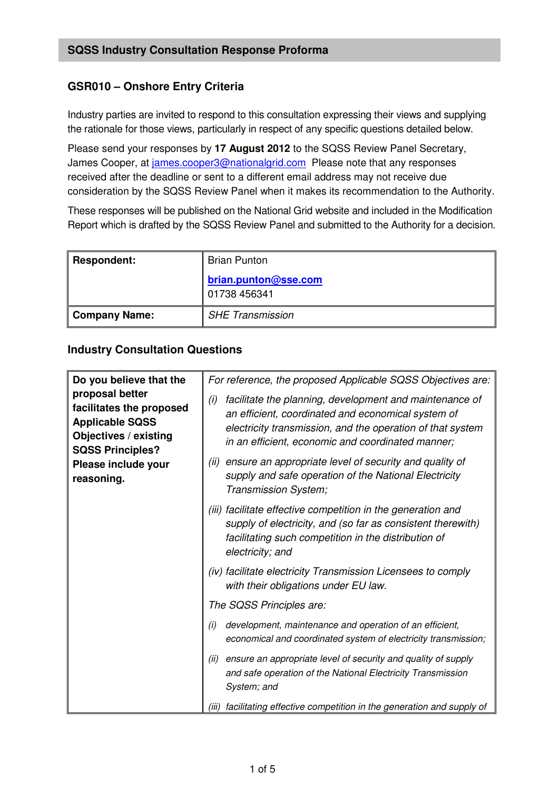## **GSR010 – Onshore Entry Criteria**

Industry parties are invited to respond to this consultation expressing their views and supplying the rationale for those views, particularly in respect of any specific questions detailed below.

Please send your responses by **17 August 2012** to the SQSS Review Panel Secretary, James Cooper, at james.cooper3@nationalgrid.com Please note that any responses received after the deadline or sent to a different email address may not receive due consideration by the SQSS Review Panel when it makes its recommendation to the Authority.

These responses will be published on the National Grid website and included in the Modification Report which is drafted by the SQSS Review Panel and submitted to the Authority for a decision.

| <b>Respondent:</b>   | <b>Brian Punton</b>                    |
|----------------------|----------------------------------------|
|                      | brian.punton@sse.com<br>  01738 456341 |
| <b>Company Name:</b> | <b>SHE Transmission</b>                |

## **Industry Consultation Questions**

| Do you believe that the<br>proposal better<br>facilitates the proposed<br><b>Applicable SQSS</b><br><b>Objectives / existing</b><br><b>SQSS Principles?</b><br>Please include your<br>reasoning. | For reference, the proposed Applicable SQSS Objectives are:                                                                                                                                                                             |
|--------------------------------------------------------------------------------------------------------------------------------------------------------------------------------------------------|-----------------------------------------------------------------------------------------------------------------------------------------------------------------------------------------------------------------------------------------|
|                                                                                                                                                                                                  | facilitate the planning, development and maintenance of<br>(i)<br>an efficient, coordinated and economical system of<br>electricity transmission, and the operation of that system<br>in an efficient, economic and coordinated manner; |
|                                                                                                                                                                                                  | ensure an appropriate level of security and quality of<br>(ii)<br>supply and safe operation of the National Electricity<br>Transmission System;                                                                                         |
|                                                                                                                                                                                                  | (iii) facilitate effective competition in the generation and<br>supply of electricity, and (so far as consistent therewith)<br>facilitating such competition in the distribution of<br>electricity; and                                 |
|                                                                                                                                                                                                  | (iv) facilitate electricity Transmission Licensees to comply<br>with their obligations under EU law.                                                                                                                                    |
|                                                                                                                                                                                                  | The SQSS Principles are:                                                                                                                                                                                                                |
|                                                                                                                                                                                                  | development, maintenance and operation of an efficient,<br>(i)<br>economical and coordinated system of electricity transmission;                                                                                                        |
|                                                                                                                                                                                                  | ensure an appropriate level of security and quality of supply<br>(ii)<br>and safe operation of the National Electricity Transmission<br>System; and                                                                                     |
|                                                                                                                                                                                                  | facilitating effective competition in the generation and supply of<br>(iii)                                                                                                                                                             |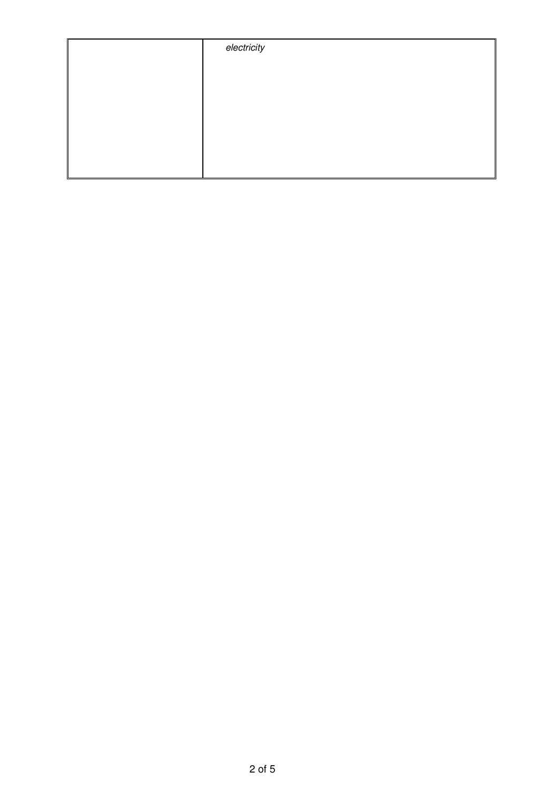| electricity |
|-------------|
|             |
|             |
|             |
|             |
|             |
|             |
|             |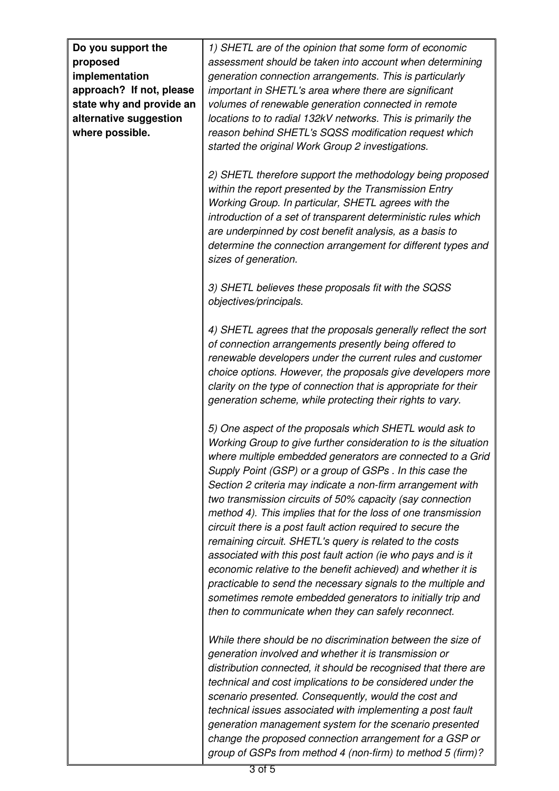| Do you support the<br>proposed<br>implementation                                                  | 1) SHETL are of the opinion that some form of economic<br>assessment should be taken into account when determining<br>generation connection arrangements. This is particularly                                                                                                                                                                                                                                                                                                                                                                                                                                                                                                                                                                                                                                                                                                                      |
|---------------------------------------------------------------------------------------------------|-----------------------------------------------------------------------------------------------------------------------------------------------------------------------------------------------------------------------------------------------------------------------------------------------------------------------------------------------------------------------------------------------------------------------------------------------------------------------------------------------------------------------------------------------------------------------------------------------------------------------------------------------------------------------------------------------------------------------------------------------------------------------------------------------------------------------------------------------------------------------------------------------------|
| approach? If not, please<br>state why and provide an<br>alternative suggestion<br>where possible. | important in SHETL's area where there are significant<br>volumes of renewable generation connected in remote<br>locations to to radial 132kV networks. This is primarily the<br>reason behind SHETL's SQSS modification request which<br>started the original Work Group 2 investigations.                                                                                                                                                                                                                                                                                                                                                                                                                                                                                                                                                                                                          |
|                                                                                                   | 2) SHETL therefore support the methodology being proposed<br>within the report presented by the Transmission Entry<br>Working Group. In particular, SHETL agrees with the<br>introduction of a set of transparent deterministic rules which<br>are underpinned by cost benefit analysis, as a basis to<br>determine the connection arrangement for different types and<br>sizes of generation.                                                                                                                                                                                                                                                                                                                                                                                                                                                                                                      |
|                                                                                                   | 3) SHETL believes these proposals fit with the SQSS<br>objectives/principals.                                                                                                                                                                                                                                                                                                                                                                                                                                                                                                                                                                                                                                                                                                                                                                                                                       |
|                                                                                                   | 4) SHETL agrees that the proposals generally reflect the sort<br>of connection arrangements presently being offered to<br>renewable developers under the current rules and customer<br>choice options. However, the proposals give developers more<br>clarity on the type of connection that is appropriate for their<br>generation scheme, while protecting their rights to vary.                                                                                                                                                                                                                                                                                                                                                                                                                                                                                                                  |
|                                                                                                   | 5) One aspect of the proposals which SHETL would ask to<br>Working Group to give further consideration to is the situation<br>where multiple embedded generators are connected to a Grid<br>Supply Point (GSP) or a group of GSPs . In this case the<br>Section 2 criteria may indicate a non-firm arrangement with<br>two transmission circuits of 50% capacity (say connection<br>method 4). This implies that for the loss of one transmission<br>circuit there is a post fault action required to secure the<br>remaining circuit. SHETL's query is related to the costs<br>associated with this post fault action (ie who pays and is it<br>economic relative to the benefit achieved) and whether it is<br>practicable to send the necessary signals to the multiple and<br>sometimes remote embedded generators to initially trip and<br>then to communicate when they can safely reconnect. |
|                                                                                                   | While there should be no discrimination between the size of<br>generation involved and whether it is transmission or<br>distribution connected, it should be recognised that there are<br>technical and cost implications to be considered under the<br>scenario presented. Consequently, would the cost and<br>technical issues associated with implementing a post fault<br>generation management system for the scenario presented<br>change the proposed connection arrangement for a GSP or<br>group of GSPs from method 4 (non-firm) to method 5 (firm)?                                                                                                                                                                                                                                                                                                                                      |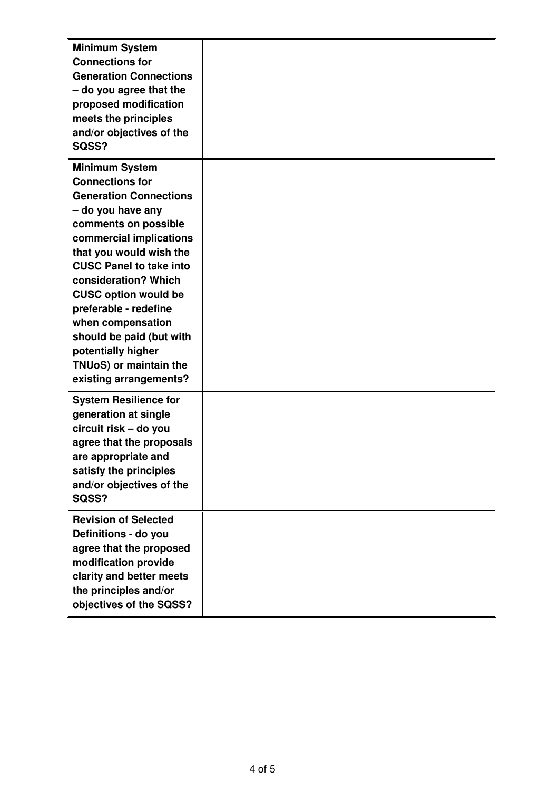| <b>Minimum System</b><br><b>Connections for</b><br><b>Generation Connections</b><br>- do you agree that the<br>proposed modification<br>meets the principles<br>and/or objectives of the<br>SQSS?                                                                                                                                                                                                                                |  |
|----------------------------------------------------------------------------------------------------------------------------------------------------------------------------------------------------------------------------------------------------------------------------------------------------------------------------------------------------------------------------------------------------------------------------------|--|
| <b>Minimum System</b><br><b>Connections for</b><br><b>Generation Connections</b><br>- do you have any<br>comments on possible<br>commercial implications<br>that you would wish the<br><b>CUSC Panel to take into</b><br>consideration? Which<br><b>CUSC option would be</b><br>preferable - redefine<br>when compensation<br>should be paid (but with<br>potentially higher<br>TNUoS) or maintain the<br>existing arrangements? |  |
| <b>System Resilience for</b><br>generation at single<br>circuit risk - do you<br>agree that the proposals<br>are appropriate and<br>satisfy the principles<br>and/or objectives of the<br>SQSS?                                                                                                                                                                                                                                  |  |
| <b>Revision of Selected</b><br>Definitions - do you<br>agree that the proposed<br>modification provide<br>clarity and better meets<br>the principles and/or<br>objectives of the SQSS?                                                                                                                                                                                                                                           |  |